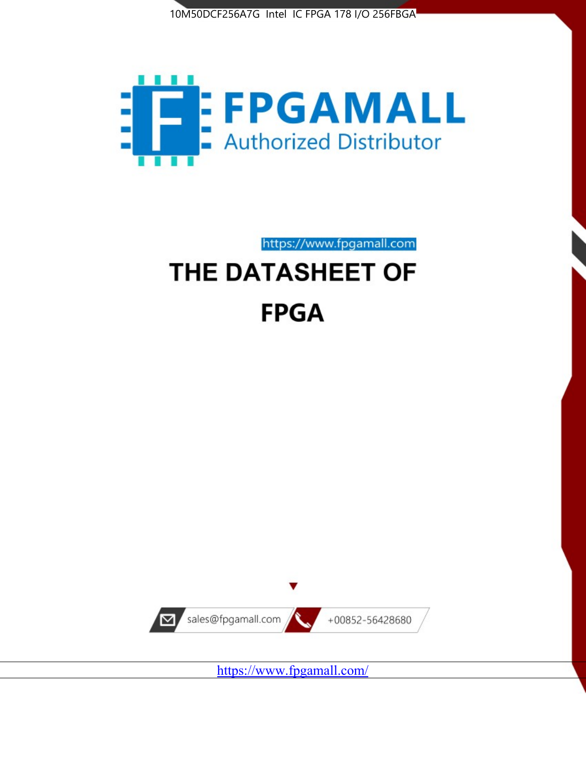



https://www.fpgamall.com THE DATASHEET OF

# **FPGA**



<https://www.fpgamall.com/>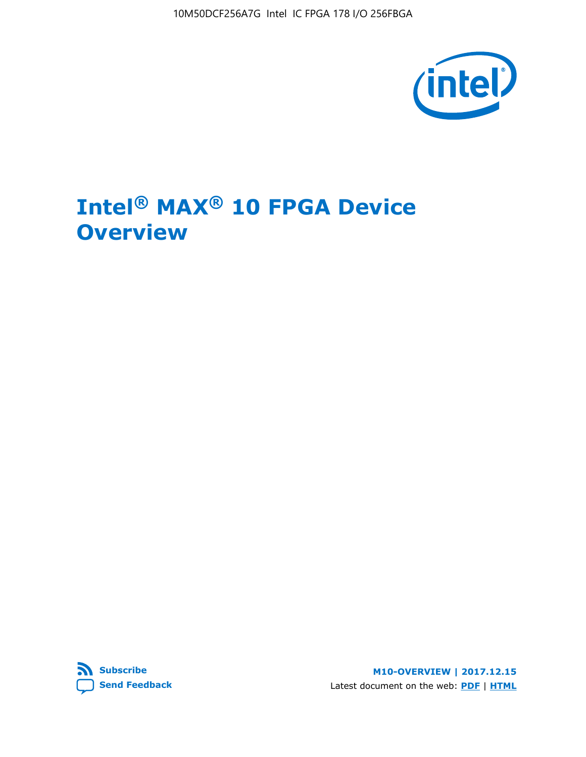10M50DCF256A7G Intel IC FPGA 178 I/O 256FBGA



## **Intel® MAX® 10 FPGA Device Overview**



**M10-OVERVIEW | 2017.12.15** Latest document on the web: **[PDF](https://www.altera.com/en_US/pdfs/literature/hb/max-10/m10_overview.pdf)** | **[HTML](https://www.altera.com/documentation/myt1396938463674.html)**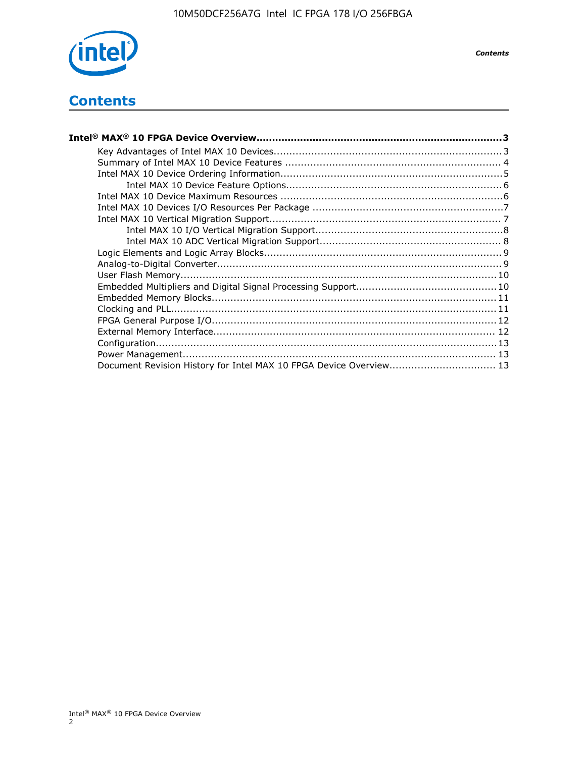

*Contents*

## **Contents**

| Intel® MAX® 10 FPGA Device Overview………………………………………………………………………………………3 |  |
|-----------------------------------------------------------------------|--|
|                                                                       |  |
|                                                                       |  |
|                                                                       |  |
|                                                                       |  |
|                                                                       |  |
|                                                                       |  |
|                                                                       |  |
|                                                                       |  |
|                                                                       |  |
|                                                                       |  |
|                                                                       |  |
|                                                                       |  |
|                                                                       |  |
|                                                                       |  |
|                                                                       |  |
|                                                                       |  |
|                                                                       |  |
|                                                                       |  |
|                                                                       |  |
| Document Revision History for Intel MAX 10 FPGA Device Overview 13    |  |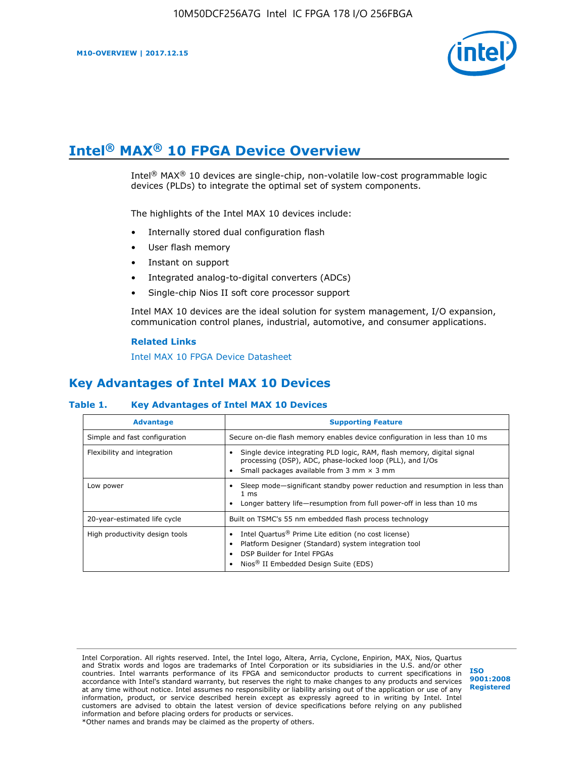

## **Intel® MAX® 10 FPGA Device Overview**

Intel<sup>®</sup> MAX<sup>®</sup> 10 devices are single-chip, non-volatile low-cost programmable logic devices (PLDs) to integrate the optimal set of system components.

The highlights of the Intel MAX 10 devices include:

- Internally stored dual configuration flash
- User flash memory
- Instant on support
- Integrated analog-to-digital converters (ADCs)
- Single-chip Nios II soft core processor support

Intel MAX 10 devices are the ideal solution for system management, I/O expansion, communication control planes, industrial, automotive, and consumer applications.

#### **Related Links**

[Intel MAX 10 FPGA Device Datasheet](https://www.altera.com/documentation/mcn1397700832153.html#mcn1397643748870)

## **Key Advantages of Intel MAX 10 Devices**

#### **Table 1. Key Advantages of Intel MAX 10 Devices**

| <b>Advantage</b>               | <b>Supporting Feature</b>                                                                                                                                                                                  |  |  |  |
|--------------------------------|------------------------------------------------------------------------------------------------------------------------------------------------------------------------------------------------------------|--|--|--|
| Simple and fast configuration  | Secure on-die flash memory enables device configuration in less than 10 ms                                                                                                                                 |  |  |  |
| Flexibility and integration    | Single device integrating PLD logic, RAM, flash memory, digital signal<br>processing (DSP), ADC, phase-locked loop (PLL), and I/Os<br>Small packages available from 3 mm $\times$ 3 mm                     |  |  |  |
| Low power                      | Sleep mode—significant standby power reduction and resumption in less than<br>$1 \text{ ms}$<br>Longer battery life-resumption from full power-off in less than 10 ms                                      |  |  |  |
| 20-year-estimated life cycle   | Built on TSMC's 55 nm embedded flash process technology                                                                                                                                                    |  |  |  |
| High productivity design tools | Intel Quartus <sup>®</sup> Prime Lite edition (no cost license)<br>Platform Designer (Standard) system integration tool<br>DSP Builder for Intel FPGAs<br>Nios <sup>®</sup> II Embedded Design Suite (EDS) |  |  |  |

Intel Corporation. All rights reserved. Intel, the Intel logo, Altera, Arria, Cyclone, Enpirion, MAX, Nios, Quartus and Stratix words and logos are trademarks of Intel Corporation or its subsidiaries in the U.S. and/or other countries. Intel warrants performance of its FPGA and semiconductor products to current specifications in accordance with Intel's standard warranty, but reserves the right to make changes to any products and services at any time without notice. Intel assumes no responsibility or liability arising out of the application or use of any information, product, or service described herein except as expressly agreed to in writing by Intel. Intel customers are advised to obtain the latest version of device specifications before relying on any published information and before placing orders for products or services. \*Other names and brands may be claimed as the property of others.

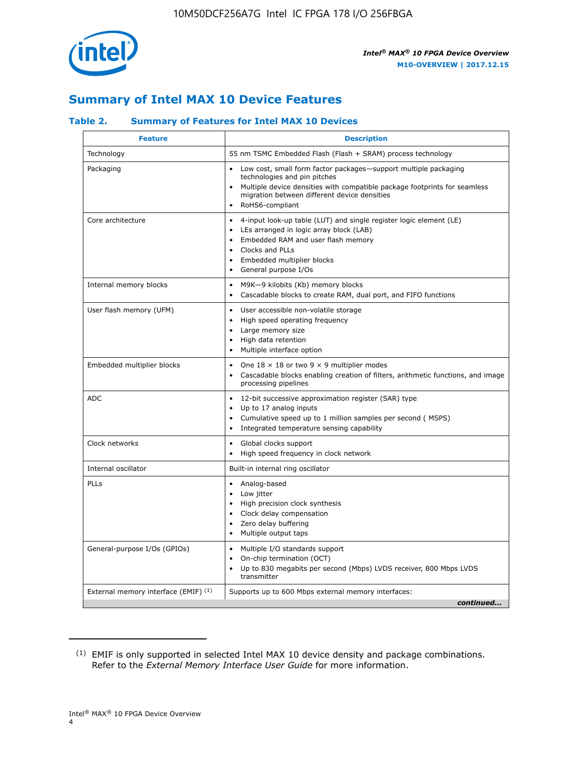

## **Summary of Intel MAX 10 Device Features**

#### **Table 2. Summary of Features for Intel MAX 10 Devices**

| <b>Feature</b>                       | <b>Description</b>                                                                                                                                                                                                                                                                            |
|--------------------------------------|-----------------------------------------------------------------------------------------------------------------------------------------------------------------------------------------------------------------------------------------------------------------------------------------------|
| Technology                           | 55 nm TSMC Embedded Flash (Flash + SRAM) process technology                                                                                                                                                                                                                                   |
| Packaging                            | Low cost, small form factor packages-support multiple packaging<br>technologies and pin pitches<br>Multiple device densities with compatible package footprints for seamless<br>migration between different device densities<br>RoHS6-compliant                                               |
| Core architecture                    | 4-input look-up table (LUT) and single register logic element (LE)<br>$\bullet$<br>LEs arranged in logic array block (LAB)<br>$\bullet$<br>Embedded RAM and user flash memory<br>$\bullet$<br>Clocks and PLLs<br>$\bullet$<br>Embedded multiplier blocks<br>General purpose I/Os<br>$\bullet$ |
| Internal memory blocks               | M9K-9 kilobits (Kb) memory blocks<br>$\bullet$<br>Cascadable blocks to create RAM, dual port, and FIFO functions<br>$\bullet$                                                                                                                                                                 |
| User flash memory (UFM)              | User accessible non-volatile storage<br>$\bullet$<br>High speed operating frequency<br>$\bullet$<br>Large memory size<br>High data retention<br>$\bullet$<br>Multiple interface option                                                                                                        |
| Embedded multiplier blocks           | One $18 \times 18$ or two 9 $\times$ 9 multiplier modes<br>$\bullet$<br>Cascadable blocks enabling creation of filters, arithmetic functions, and image<br>processing pipelines                                                                                                               |
| <b>ADC</b>                           | 12-bit successive approximation register (SAR) type<br>$\bullet$<br>Up to 17 analog inputs<br>$\bullet$<br>Cumulative speed up to 1 million samples per second (MSPS)<br>Integrated temperature sensing capability<br>$\bullet$                                                               |
| Clock networks                       | Global clocks support<br>$\bullet$<br>High speed frequency in clock network                                                                                                                                                                                                                   |
| Internal oscillator                  | Built-in internal ring oscillator                                                                                                                                                                                                                                                             |
| PLLs                                 | Analog-based<br>$\bullet$<br>Low jitter<br>High precision clock synthesis<br>$\bullet$<br>Clock delay compensation<br>$\bullet$<br>Zero delay buffering<br>٠<br>Multiple output taps<br>$\bullet$                                                                                             |
| General-purpose I/Os (GPIOs)         | Multiple I/O standards support<br>$\bullet$<br>On-chip termination (OCT)<br>٠<br>Up to 830 megabits per second (Mbps) LVDS receiver, 800 Mbps LVDS<br>transmitter                                                                                                                             |
| External memory interface (EMIF) (1) | Supports up to 600 Mbps external memory interfaces:<br>continued                                                                                                                                                                                                                              |
|                                      |                                                                                                                                                                                                                                                                                               |

<sup>(1)</sup> EMIF is only supported in selected Intel MAX 10 device density and package combinations. Refer to the *External Memory Interface User Guide* for more information.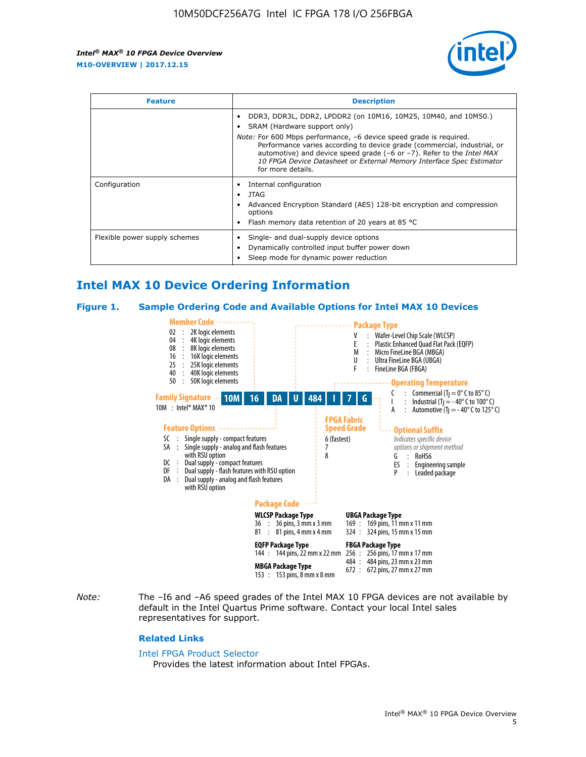

| <b>Feature</b>                | <b>Description</b>                                                                                                                                                                                                                                                                                                                 |  |  |  |
|-------------------------------|------------------------------------------------------------------------------------------------------------------------------------------------------------------------------------------------------------------------------------------------------------------------------------------------------------------------------------|--|--|--|
|                               | DDR3, DDR3L, DDR2, LPDDR2 (on 10M16, 10M25, 10M40, and 10M50.)<br>SRAM (Hardware support only)                                                                                                                                                                                                                                     |  |  |  |
|                               | <i>Note:</i> For 600 Mbps performance, -6 device speed grade is required.<br>Performance varies according to device grade (commercial, industrial, or<br>automotive) and device speed grade (-6 or -7). Refer to the <i>Intel MAX</i><br>10 FPGA Device Datasheet or External Memory Interface Spec Estimator<br>for more details. |  |  |  |
| Configuration                 | Internal configuration                                                                                                                                                                                                                                                                                                             |  |  |  |
|                               | JTAG<br>$\bullet$                                                                                                                                                                                                                                                                                                                  |  |  |  |
|                               | Advanced Encryption Standard (AES) 128-bit encryption and compression<br>options                                                                                                                                                                                                                                                   |  |  |  |
|                               | Flash memory data retention of 20 years at 85 $^{\circ}$ C                                                                                                                                                                                                                                                                         |  |  |  |
| Flexible power supply schemes | Single- and dual-supply device options<br>Dynamically controlled input buffer power down<br>Sleep mode for dynamic power reduction                                                                                                                                                                                                 |  |  |  |

## **Intel MAX 10 Device Ordering Information**

#### **Figure 1. Sample Ordering Code and Available Options for Intel MAX 10 Devices**



*Note:* The –I6 and –A6 speed grades of the Intel MAX 10 FPGA devices are not available by default in the Intel Quartus Prime software. Contact your local Intel sales representatives for support.

#### **Related Links**

#### [Intel FPGA Product Selector](http://www.altera.com/products/selector/psg-selector.html)

Provides the latest information about Intel FPGAs.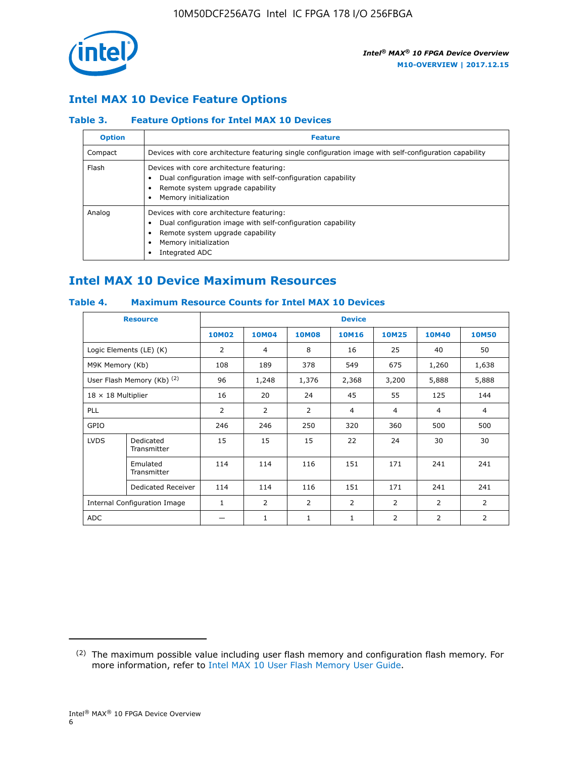

### **Intel MAX 10 Device Feature Options**

#### **Table 3. Feature Options for Intel MAX 10 Devices**

| <b>Option</b> | <b>Feature</b>                                                                                                                                                                          |
|---------------|-----------------------------------------------------------------------------------------------------------------------------------------------------------------------------------------|
| Compact       | Devices with core architecture featuring single configuration image with self-configuration capability                                                                                  |
| Flash         | Devices with core architecture featuring:<br>Dual configuration image with self-configuration capability<br>Remote system upgrade capability<br>Memory initialization                   |
| Analog        | Devices with core architecture featuring:<br>Dual configuration image with self-configuration capability<br>Remote system upgrade capability<br>Memory initialization<br>Integrated ADC |

## **Intel MAX 10 Device Maximum Resources**

#### **Table 4. Maximum Resource Counts for Intel MAX 10 Devices**

| <b>Resource</b>                     |                            |              |                |              | <b>Device</b>  |                |              |                |
|-------------------------------------|----------------------------|--------------|----------------|--------------|----------------|----------------|--------------|----------------|
|                                     |                            | <b>10M02</b> | 10M04          | <b>10M08</b> | <b>10M16</b>   | <b>10M25</b>   | <b>10M40</b> | <b>10M50</b>   |
|                                     | Logic Elements (LE) (K)    | 2            | 4              | 8            | 16             | 25             | 40           | 50             |
| M9K Memory (Kb)                     |                            | 108          | 189            | 378          | 549            | 675            | 1,260        | 1,638          |
|                                     | User Flash Memory (Kb) (2) | 96           | 1,248          | 1,376        | 2,368          | 3,200          | 5,888        | 5,888          |
| $18 \times 18$ Multiplier           |                            | 16           | 20             | 24           | 45             | 55             | 125          | 144            |
| <b>PLL</b>                          |                            | 2            | $\overline{2}$ | 2            | $\overline{4}$ | $\overline{4}$ | 4            | $\overline{4}$ |
| GPIO                                |                            | 246          | 246            | 250          | 320            | 360            | 500          | 500            |
| <b>LVDS</b>                         | Dedicated<br>Transmitter   | 15           | 15             | 15           | 22             | 24             | 30           | 30             |
|                                     | Emulated<br>Transmitter    | 114          | 114            | 116          | 151            | 171            | 241          | 241            |
|                                     | Dedicated Receiver         | 114          | 114            | 116          | 151            | 171            | 241          | 241            |
| <b>Internal Configuration Image</b> |                            | $\mathbf{1}$ | $\overline{2}$ | 2            | $\overline{2}$ | $\overline{2}$ | 2            | $\overline{2}$ |
| ADC                                 |                            |              | 1              | $\mathbf{1}$ | $\mathbf{1}$   | 2              | 2            | 2              |

<sup>(2)</sup> The maximum possible value including user flash memory and configuration flash memory. For more information, refer to [Intel MAX 10 User Flash Memory User Guide](https://www.altera.com/documentation/vgo1395753117436.html#vgo1395811844282).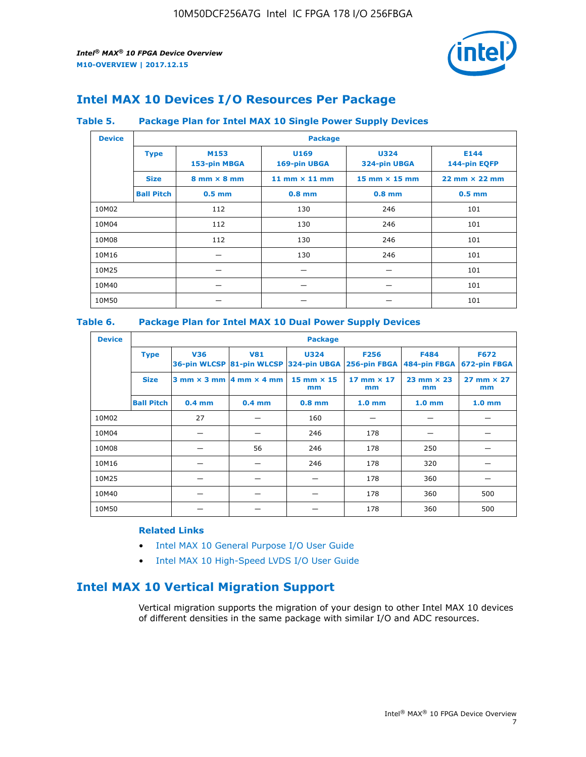

## **Intel MAX 10 Devices I/O Resources Per Package**

#### **Table 5. Package Plan for Intel MAX 10 Single Power Supply Devices**

| <b>Device</b> |                   | <b>Package</b>                     |                      |                             |                                      |  |  |  |  |
|---------------|-------------------|------------------------------------|----------------------|-----------------------------|--------------------------------------|--|--|--|--|
|               | <b>Type</b>       | M153<br>153-pin MBGA               | U169<br>169-pin UBGA | <b>U324</b><br>324-pin UBGA | E144<br>144-pin EQFP                 |  |  |  |  |
|               | <b>Size</b>       | $8 \text{ mm} \times 8 \text{ mm}$ | 11 mm $\times$ 11 mm | $15$ mm $\times$ 15 mm      | $22 \text{ mm} \times 22 \text{ mm}$ |  |  |  |  |
|               | <b>Ball Pitch</b> | $0.5$ mm                           | $0.8$ mm             | $0.8$ mm                    | $0.5$ mm                             |  |  |  |  |
| 10M02         |                   | 112                                | 130                  | 246                         | 101                                  |  |  |  |  |
| 10M04         |                   | 112                                | 130                  | 246                         | 101                                  |  |  |  |  |
| 10M08         |                   | 112                                | 130                  | 246                         | 101                                  |  |  |  |  |
| 10M16         |                   |                                    | 130                  | 246                         | 101                                  |  |  |  |  |
| 10M25         |                   |                                    |                      |                             | 101                                  |  |  |  |  |
| 10M40         |                   |                                    |                      |                             | 101                                  |  |  |  |  |
| 10M50         |                   |                                    |                      |                             | 101                                  |  |  |  |  |

#### **Table 6. Package Plan for Intel MAX 10 Dual Power Supply Devices**

| <b>Device</b> |                   | <b>Package</b> |                                            |                                                                    |                         |                           |                             |  |  |
|---------------|-------------------|----------------|--------------------------------------------|--------------------------------------------------------------------|-------------------------|---------------------------|-----------------------------|--|--|
|               | <b>Type</b>       | <b>V36</b>     | <b>V81</b>                                 | <b>U324</b><br>36-pin WLCSP 81-pin WLCSP 324-pin UBGA 256-pin FBGA | <b>F256</b>             | F484<br>484-pin FBGA      | <b>F672</b><br>672-pin FBGA |  |  |
|               | <b>Size</b>       |                | $3$ mm $\times$ 3 mm $ 4$ mm $\times$ 4 mm | $15$ mm $\times$ 15<br>mm                                          | 17 mm $\times$ 17<br>mm | $23$ mm $\times$ 23<br>mm | $27$ mm $\times$ 27<br>mm   |  |  |
|               | <b>Ball Pitch</b> | $0.4$ mm       | $0.4$ mm                                   | $0.8$ mm                                                           | 1.0 <sub>mm</sub>       | 1.0 <sub>mm</sub>         | 1.0 <sub>mm</sub>           |  |  |
| 10M02         |                   | 27             |                                            | 160                                                                |                         |                           |                             |  |  |
| 10M04         |                   |                |                                            | 246                                                                | 178                     |                           |                             |  |  |
| 10M08         |                   |                | 56                                         | 246                                                                | 178                     | 250                       |                             |  |  |
| 10M16         |                   |                |                                            | 246                                                                | 178                     | 320                       |                             |  |  |
| 10M25         |                   |                |                                            |                                                                    | 178                     | 360                       |                             |  |  |
| 10M40         |                   |                |                                            |                                                                    | 178                     | 360                       | 500                         |  |  |
| 10M50         |                   |                |                                            |                                                                    | 178                     | 360                       | 500                         |  |  |

#### **Related Links**

- [Intel MAX 10 General Purpose I/O User Guide](https://www.altera.com/documentation/sam1393999966669.html#sam1394000084476)
- [Intel MAX 10 High-Speed LVDS I/O User Guide](https://www.altera.com/documentation/sam1394433606063.html#sam1394433911642)

## **Intel MAX 10 Vertical Migration Support**

Vertical migration supports the migration of your design to other Intel MAX 10 devices of different densities in the same package with similar I/O and ADC resources.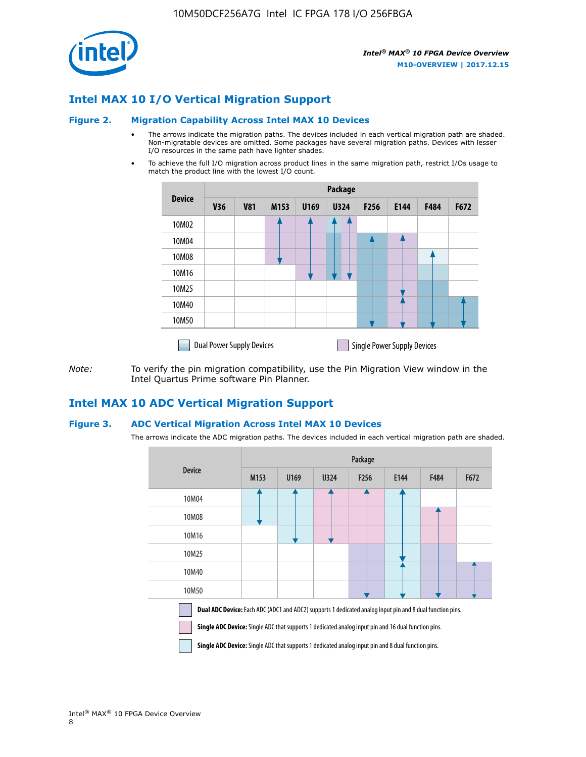

## **Intel MAX 10 I/O Vertical Migration Support**

#### **Figure 2. Migration Capability Across Intel MAX 10 Devices**

- The arrows indicate the migration paths. The devices included in each vertical migration path are shaded. Non-migratable devices are omitted. Some packages have several migration paths. Devices with lesser I/O resources in the same path have lighter shades.
- To achieve the full I/O migration across product lines in the same migration path, restrict I/Os usage to match the product line with the lowest I/O count.

|               | Package                          |            |      |      |             |                  |                                    |      |      |  |
|---------------|----------------------------------|------------|------|------|-------------|------------------|------------------------------------|------|------|--|
| <b>Device</b> | <b>V36</b>                       | <b>V81</b> | M153 | U169 | <b>U324</b> | F <sub>256</sub> | E144                               | F484 | F672 |  |
| 10M02         |                                  |            |      |      | 7           |                  |                                    |      |      |  |
| 10M04         |                                  |            |      |      |             |                  |                                    |      |      |  |
| 10M08         |                                  |            |      |      |             |                  |                                    |      |      |  |
| 10M16         |                                  |            |      |      |             |                  |                                    |      |      |  |
| 10M25         |                                  |            |      |      |             |                  |                                    |      |      |  |
| 10M40         |                                  |            |      |      |             |                  |                                    |      |      |  |
| 10M50         |                                  |            |      |      |             |                  |                                    |      |      |  |
|               | <b>Dual Power Supply Devices</b> |            |      |      |             |                  | <b>Single Power Supply Devices</b> |      |      |  |

*Note:* To verify the pin migration compatibility, use the Pin Migration View window in the Intel Quartus Prime software Pin Planner.

#### **Intel MAX 10 ADC Vertical Migration Support**

#### **Figure 3. ADC Vertical Migration Across Intel MAX 10 Devices**

The arrows indicate the ADC migration paths. The devices included in each vertical migration path are shaded.

|                                                                                                                                                                                                                         | Package          |      |      |                  |      |             |      |  |  |
|-------------------------------------------------------------------------------------------------------------------------------------------------------------------------------------------------------------------------|------------------|------|------|------------------|------|-------------|------|--|--|
| <b>Device</b>                                                                                                                                                                                                           | M <sub>153</sub> | U169 | U324 | F <sub>256</sub> | E144 | <b>F484</b> | F672 |  |  |
| 10M04                                                                                                                                                                                                                   |                  |      |      |                  |      |             |      |  |  |
| 10M08                                                                                                                                                                                                                   |                  |      |      |                  |      |             |      |  |  |
| 10M16                                                                                                                                                                                                                   |                  |      |      |                  |      |             |      |  |  |
| 10M25                                                                                                                                                                                                                   |                  |      |      |                  |      |             |      |  |  |
| 10M40                                                                                                                                                                                                                   |                  |      |      |                  |      |             |      |  |  |
| 10M50                                                                                                                                                                                                                   |                  |      |      |                  |      |             |      |  |  |
| <b>Dual ADC Device:</b> Each ADC (ADC1 and ADC2) supports 1 dedicated analog input pin and 8 dual function pins.<br>Single ADC Device: Single ADC that supports 1 dedicated analog input pin and 16 dual function pins. |                  |      |      |                  |      |             |      |  |  |

**Single ADC Device:** Single ADC that supports 1 dedicated analog input pin and 8 dual function pins.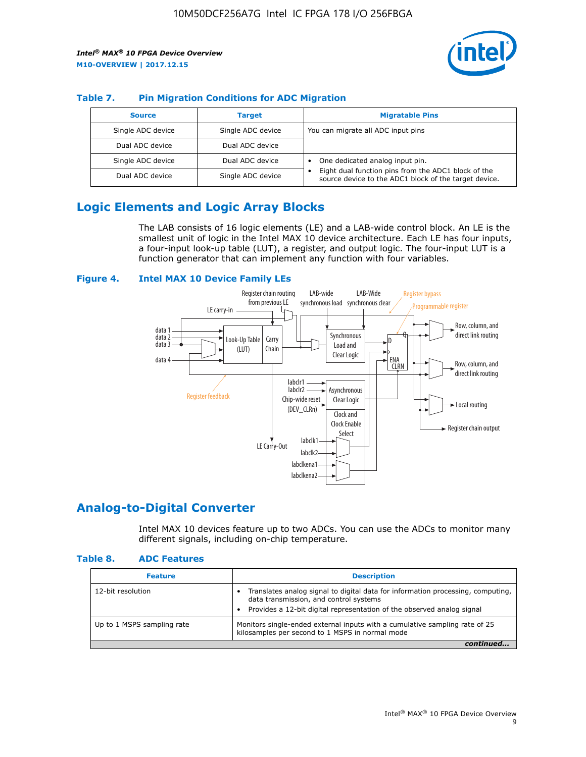

#### **Table 7. Pin Migration Conditions for ADC Migration**

| <b>Source</b>     | <b>Target</b>     | <b>Migratable Pins</b>                                                                                            |
|-------------------|-------------------|-------------------------------------------------------------------------------------------------------------------|
| Single ADC device | Single ADC device | You can migrate all ADC input pins                                                                                |
| Dual ADC device   | Dual ADC device   |                                                                                                                   |
| Single ADC device | Dual ADC device   | One dedicated analog input pin.                                                                                   |
| Dual ADC device   | Single ADC device | Eight dual function pins from the ADC1 block of the<br>٠<br>source device to the ADC1 block of the target device. |

## **Logic Elements and Logic Array Blocks**

The LAB consists of 16 logic elements (LE) and a LAB-wide control block. An LE is the smallest unit of logic in the Intel MAX 10 device architecture. Each LE has four inputs, a four-input look-up table (LUT), a register, and output logic. The four-input LUT is a function generator that can implement any function with four variables.

#### **Figure 4. Intel MAX 10 Device Family LEs**



#### **Analog-to-Digital Converter**

Intel MAX 10 devices feature up to two ADCs. You can use the ADCs to monitor many different signals, including on-chip temperature.

#### **Table 8. ADC Features**

| <b>Feature</b>             | <b>Description</b>                                                                                                                                                                                  |
|----------------------------|-----------------------------------------------------------------------------------------------------------------------------------------------------------------------------------------------------|
| 12-bit resolution          | Translates analog signal to digital data for information processing, computing,<br>data transmission, and control systems<br>Provides a 12-bit digital representation of the observed analog signal |
| Up to 1 MSPS sampling rate | Monitors single-ended external inputs with a cumulative sampling rate of 25<br>kilosamples per second to 1 MSPS in normal mode                                                                      |
|                            |                                                                                                                                                                                                     |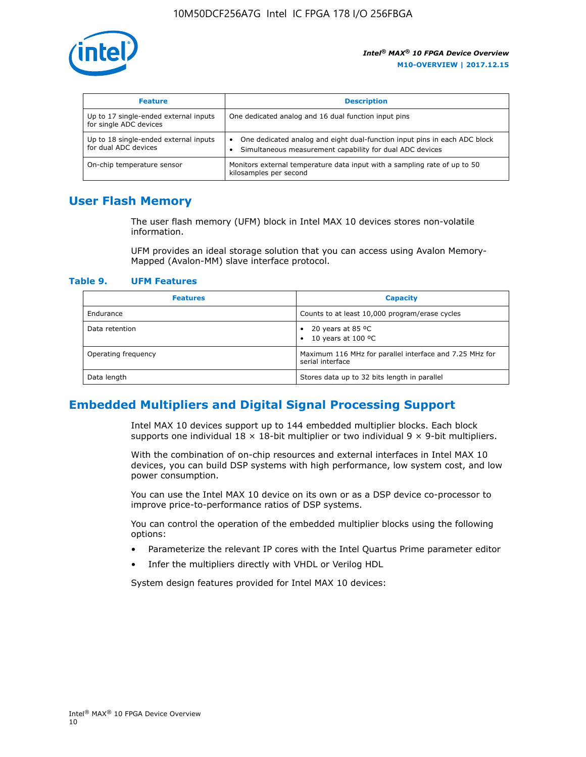

| <b>Feature</b>                                                  | <b>Description</b>                                                                                                                         |  |
|-----------------------------------------------------------------|--------------------------------------------------------------------------------------------------------------------------------------------|--|
| Up to 17 single-ended external inputs<br>for single ADC devices | One dedicated analog and 16 dual function input pins                                                                                       |  |
| Up to 18 single-ended external inputs<br>for dual ADC devices   | One dedicated analog and eight dual-function input pins in each ADC block<br>٠<br>Simultaneous measurement capability for dual ADC devices |  |
| On-chip temperature sensor                                      | Monitors external temperature data input with a sampling rate of up to 50<br>kilosamples per second                                        |  |

## **User Flash Memory**

The user flash memory (UFM) block in Intel MAX 10 devices stores non-volatile information.

UFM provides an ideal storage solution that you can access using Avalon Memory-Mapped (Avalon-MM) slave interface protocol.

#### **Table 9. UFM Features**

| <b>Features</b>     | <b>Capacity</b>                                                             |
|---------------------|-----------------------------------------------------------------------------|
| Endurance           | Counts to at least 10,000 program/erase cycles                              |
| Data retention      | 20 years at 85 $^{\circ}$ C<br>٠<br>10 years at 100 °C<br>$\bullet$         |
| Operating frequency | Maximum 116 MHz for parallel interface and 7.25 MHz for<br>serial interface |
| Data length         | Stores data up to 32 bits length in parallel                                |

## **Embedded Multipliers and Digital Signal Processing Support**

Intel MAX 10 devices support up to 144 embedded multiplier blocks. Each block supports one individual  $18 \times 18$ -bit multiplier or two individual  $9 \times 9$ -bit multipliers.

With the combination of on-chip resources and external interfaces in Intel MAX 10 devices, you can build DSP systems with high performance, low system cost, and low power consumption.

You can use the Intel MAX 10 device on its own or as a DSP device co-processor to improve price-to-performance ratios of DSP systems.

You can control the operation of the embedded multiplier blocks using the following options:

- Parameterize the relevant IP cores with the Intel Quartus Prime parameter editor
- Infer the multipliers directly with VHDL or Verilog HDL

System design features provided for Intel MAX 10 devices: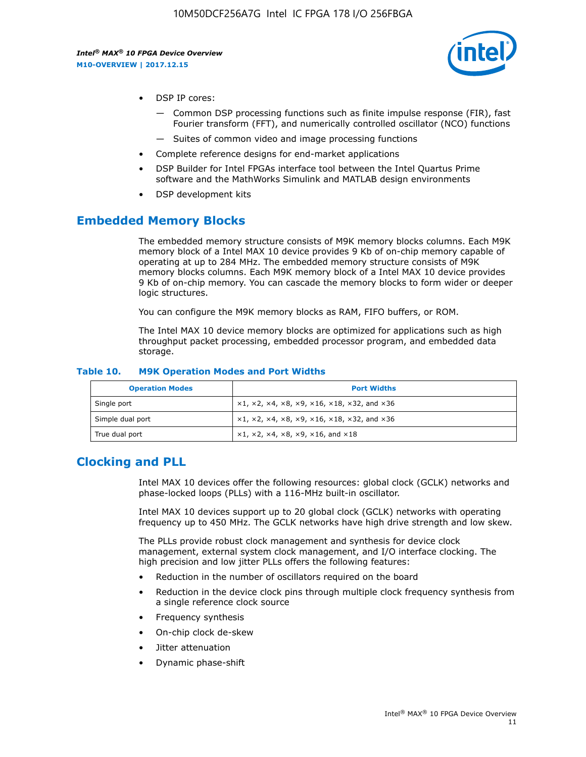

- DSP IP cores:
	- Common DSP processing functions such as finite impulse response (FIR), fast Fourier transform (FFT), and numerically controlled oscillator (NCO) functions
	- Suites of common video and image processing functions
- Complete reference designs for end-market applications
- DSP Builder for Intel FPGAs interface tool between the Intel Quartus Prime software and the MathWorks Simulink and MATLAB design environments
- DSP development kits

#### **Embedded Memory Blocks**

The embedded memory structure consists of M9K memory blocks columns. Each M9K memory block of a Intel MAX 10 device provides 9 Kb of on-chip memory capable of operating at up to 284 MHz. The embedded memory structure consists of M9K memory blocks columns. Each M9K memory block of a Intel MAX 10 device provides 9 Kb of on-chip memory. You can cascade the memory blocks to form wider or deeper logic structures.

You can configure the M9K memory blocks as RAM, FIFO buffers, or ROM.

The Intel MAX 10 device memory blocks are optimized for applications such as high throughput packet processing, embedded processor program, and embedded data storage.

| <b>Operation Modes</b> | <b>Port Widths</b>                                                            |
|------------------------|-------------------------------------------------------------------------------|
| Single port            | $x1, x2, x4, x8, x9, x16, x18, x32, and x36$                                  |
| Simple dual port       | $x1, x2, x4, x8, x9, x16, x18, x32, and x36$                                  |
| True dual port         | $\times1, \times2, \times4, \times8, \times9, \times16, \text{and } \times18$ |

#### **Table 10. M9K Operation Modes and Port Widths**

## **Clocking and PLL**

Intel MAX 10 devices offer the following resources: global clock (GCLK) networks and phase-locked loops (PLLs) with a 116-MHz built-in oscillator.

Intel MAX 10 devices support up to 20 global clock (GCLK) networks with operating frequency up to 450 MHz. The GCLK networks have high drive strength and low skew.

The PLLs provide robust clock management and synthesis for device clock management, external system clock management, and I/O interface clocking. The high precision and low jitter PLLs offers the following features:

- Reduction in the number of oscillators required on the board
- Reduction in the device clock pins through multiple clock frequency synthesis from a single reference clock source
- Frequency synthesis
- On-chip clock de-skew
- Jitter attenuation
- Dynamic phase-shift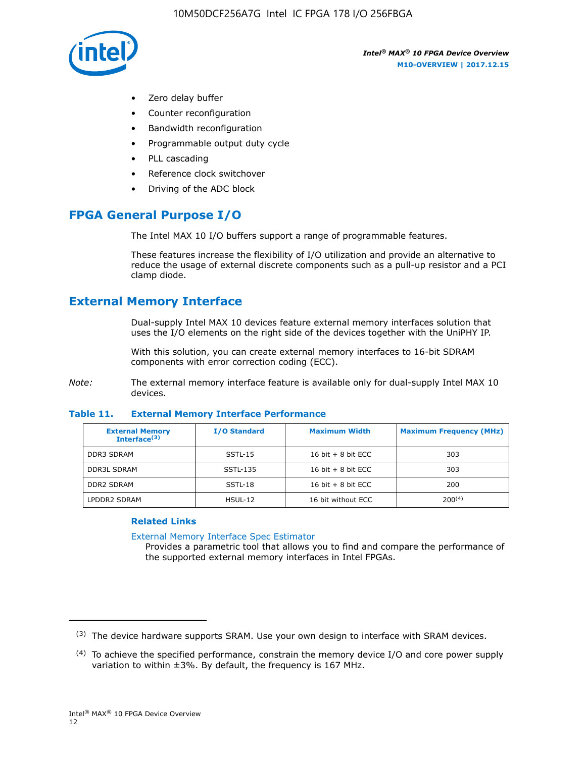

- Zero delay buffer
- Counter reconfiguration
- Bandwidth reconfiguration
- Programmable output duty cycle
- PLL cascading
- Reference clock switchover
- Driving of the ADC block

## **FPGA General Purpose I/O**

The Intel MAX 10 I/O buffers support a range of programmable features.

These features increase the flexibility of I/O utilization and provide an alternative to reduce the usage of external discrete components such as a pull-up resistor and a PCI clamp diode.

## **External Memory Interface**

Dual-supply Intel MAX 10 devices feature external memory interfaces solution that uses the I/O elements on the right side of the devices together with the UniPHY IP.

With this solution, you can create external memory interfaces to 16-bit SDRAM components with error correction coding (ECC).

*Note:* The external memory interface feature is available only for dual-supply Intel MAX 10 devices.

#### **Table 11. External Memory Interface Performance**

| <b>External Memory</b><br>Interface <sup>(3)</sup> | <b>I/O Standard</b> | <b>Maximum Width</b> | <b>Maximum Frequency (MHz)</b> |
|----------------------------------------------------|---------------------|----------------------|--------------------------------|
| <b>DDR3 SDRAM</b>                                  | SSTL-15             | 16 bit $+8$ bit ECC  | 303                            |
| <b>DDR3L SDRAM</b>                                 | SSTL-135            | 16 bit $+8$ bit ECC  | 303                            |
| <b>DDR2 SDRAM</b>                                  | SSTL-18             | 16 bit $+8$ bit ECC  | 200                            |
| LPDDR2 SDRAM                                       | $H SUL-12$          | 16 bit without ECC   | $200^{(4)}$                    |

#### **Related Links**

[External Memory Interface Spec Estimator](http://www.altera.com/technology/memory/estimator/mem-emif-index.html)

Provides a parametric tool that allows you to find and compare the performance of the supported external memory interfaces in Intel FPGAs.

 $(3)$  The device hardware supports SRAM. Use your own design to interface with SRAM devices.

 $(4)$  To achieve the specified performance, constrain the memory device I/O and core power supply variation to within ±3%. By default, the frequency is 167 MHz.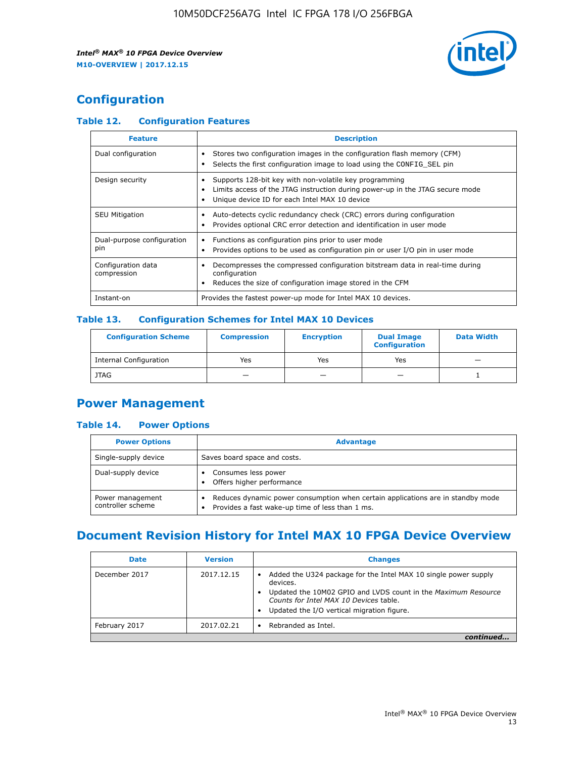

## **Configuration**

#### **Table 12. Configuration Features**

| <b>Feature</b>                    | <b>Description</b>                                                                                                                                                                       |
|-----------------------------------|------------------------------------------------------------------------------------------------------------------------------------------------------------------------------------------|
| Dual configuration                | Stores two configuration images in the configuration flash memory (CFM)<br>Selects the first configuration image to load using the CONFIG SEL pin                                        |
| Design security                   | Supports 128-bit key with non-volatile key programming<br>Limits access of the JTAG instruction during power-up in the JTAG secure mode<br>Unique device ID for each Intel MAX 10 device |
| <b>SEU Mitigation</b>             | Auto-detects cyclic redundancy check (CRC) errors during configuration<br>Provides optional CRC error detection and identification in user mode                                          |
| Dual-purpose configuration<br>pin | Functions as configuration pins prior to user mode<br>$\bullet$<br>Provides options to be used as configuration pin or user I/O pin in user mode                                         |
| Configuration data<br>compression | Decompresses the compressed configuration bitstream data in real-time during<br>configuration<br>Reduces the size of configuration image stored in the CFM                               |
| Instant-on                        | Provides the fastest power-up mode for Intel MAX 10 devices.                                                                                                                             |

#### **Table 13. Configuration Schemes for Intel MAX 10 Devices**

| <b>Configuration Scheme</b>   | <b>Compression</b>       | <b>Encryption</b> | <b>Dual Image</b><br><b>Configuration</b> | <b>Data Width</b> |
|-------------------------------|--------------------------|-------------------|-------------------------------------------|-------------------|
| <b>Internal Configuration</b> | Yes                      | Yes               | Yes                                       |                   |
| <b>JTAG</b>                   | $\overline{\phantom{a}}$ |                   | -                                         |                   |

## **Power Management**

#### **Table 14. Power Options**

| <b>Power Options</b>                  | <b>Advantage</b>                                                                                                                        |  |
|---------------------------------------|-----------------------------------------------------------------------------------------------------------------------------------------|--|
| Single-supply device                  | Saves board space and costs.                                                                                                            |  |
| Dual-supply device                    | Consumes less power<br>Offers higher performance<br>$\bullet$                                                                           |  |
| Power management<br>controller scheme | Reduces dynamic power consumption when certain applications are in standby mode<br>Provides a fast wake-up time of less than 1 ms.<br>٠ |  |

## **Document Revision History for Intel MAX 10 FPGA Device Overview**

| <b>Date</b>   | <b>Version</b> | <b>Changes</b>                                                                                                                                                                                                                       |
|---------------|----------------|--------------------------------------------------------------------------------------------------------------------------------------------------------------------------------------------------------------------------------------|
| December 2017 | 2017.12.15     | Added the U324 package for the Intel MAX 10 single power supply<br>devices.<br>Updated the 10M02 GPIO and LVDS count in the Maximum Resource<br>Counts for Intel MAX 10 Devices table.<br>Updated the I/O vertical migration figure. |
| February 2017 | 2017.02.21     | Rebranded as Intel.                                                                                                                                                                                                                  |
|               |                |                                                                                                                                                                                                                                      |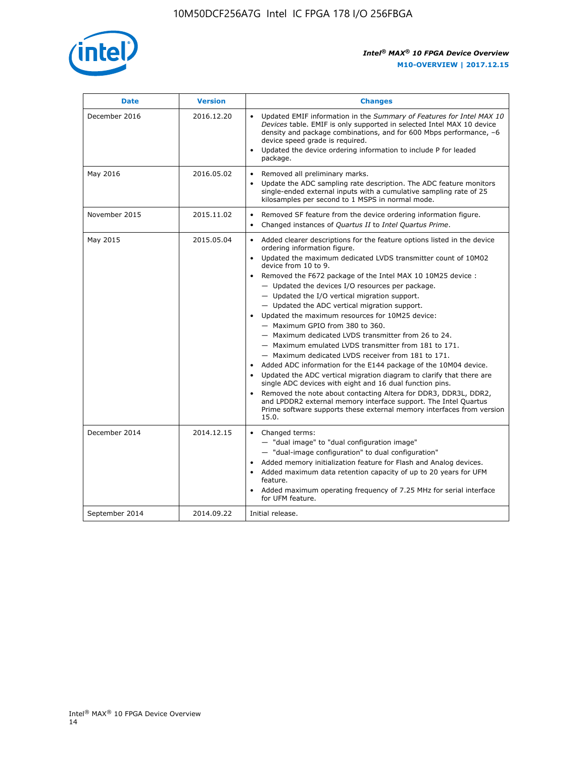

| <b>Date</b>    | <b>Version</b> | <b>Changes</b>                                                                                                                                                                                                                                                                                                                                                                                                                                                                                                                                                                                                                                                                                                                                                                                                                                                                                                                                                                                                                                                                                                  |
|----------------|----------------|-----------------------------------------------------------------------------------------------------------------------------------------------------------------------------------------------------------------------------------------------------------------------------------------------------------------------------------------------------------------------------------------------------------------------------------------------------------------------------------------------------------------------------------------------------------------------------------------------------------------------------------------------------------------------------------------------------------------------------------------------------------------------------------------------------------------------------------------------------------------------------------------------------------------------------------------------------------------------------------------------------------------------------------------------------------------------------------------------------------------|
| December 2016  | 2016.12.20     | • Updated EMIF information in the Summary of Features for Intel MAX 10<br>Devices table. EMIF is only supported in selected Intel MAX 10 device<br>density and package combinations, and for 600 Mbps performance, -6<br>device speed grade is required.<br>Updated the device ordering information to include P for leaded<br>package.                                                                                                                                                                                                                                                                                                                                                                                                                                                                                                                                                                                                                                                                                                                                                                         |
| May 2016       | 2016.05.02     | Removed all preliminary marks.<br>Update the ADC sampling rate description. The ADC feature monitors<br>single-ended external inputs with a cumulative sampling rate of 25<br>kilosamples per second to 1 MSPS in normal mode.                                                                                                                                                                                                                                                                                                                                                                                                                                                                                                                                                                                                                                                                                                                                                                                                                                                                                  |
| November 2015  | 2015.11.02     | Removed SF feature from the device ordering information figure.<br>$\bullet$<br>Changed instances of Quartus II to Intel Quartus Prime.<br>$\bullet$                                                                                                                                                                                                                                                                                                                                                                                                                                                                                                                                                                                                                                                                                                                                                                                                                                                                                                                                                            |
| May 2015       | 2015.05.04     | Added clearer descriptions for the feature options listed in the device<br>ordering information figure.<br>Updated the maximum dedicated LVDS transmitter count of 10M02<br>device from 10 to 9.<br>Removed the F672 package of the Intel MAX 10 10M25 device :<br>- Updated the devices I/O resources per package.<br>- Updated the I/O vertical migration support.<br>- Updated the ADC vertical migration support.<br>Updated the maximum resources for 10M25 device:<br>- Maximum GPIO from 380 to 360.<br>- Maximum dedicated LVDS transmitter from 26 to 24.<br>- Maximum emulated LVDS transmitter from 181 to 171.<br>- Maximum dedicated LVDS receiver from 181 to 171.<br>Added ADC information for the E144 package of the 10M04 device.<br>Updated the ADC vertical migration diagram to clarify that there are<br>single ADC devices with eight and 16 dual function pins.<br>Removed the note about contacting Altera for DDR3, DDR3L, DDR2,<br>and LPDDR2 external memory interface support. The Intel Quartus<br>Prime software supports these external memory interfaces from version<br>15.0. |
| December 2014  | 2014.12.15     | Changed terms:<br>- "dual image" to "dual configuration image"<br>- "dual-image configuration" to dual configuration"<br>Added memory initialization feature for Flash and Analog devices.<br>Added maximum data retention capacity of up to 20 years for UFM<br>feature.<br>Added maximum operating frequency of 7.25 MHz for serial interface<br>for UFM feature.                                                                                                                                                                                                                                                                                                                                                                                                                                                                                                                                                                                                                                                                                                                                             |
| September 2014 | 2014.09.22     | Initial release.                                                                                                                                                                                                                                                                                                                                                                                                                                                                                                                                                                                                                                                                                                                                                                                                                                                                                                                                                                                                                                                                                                |